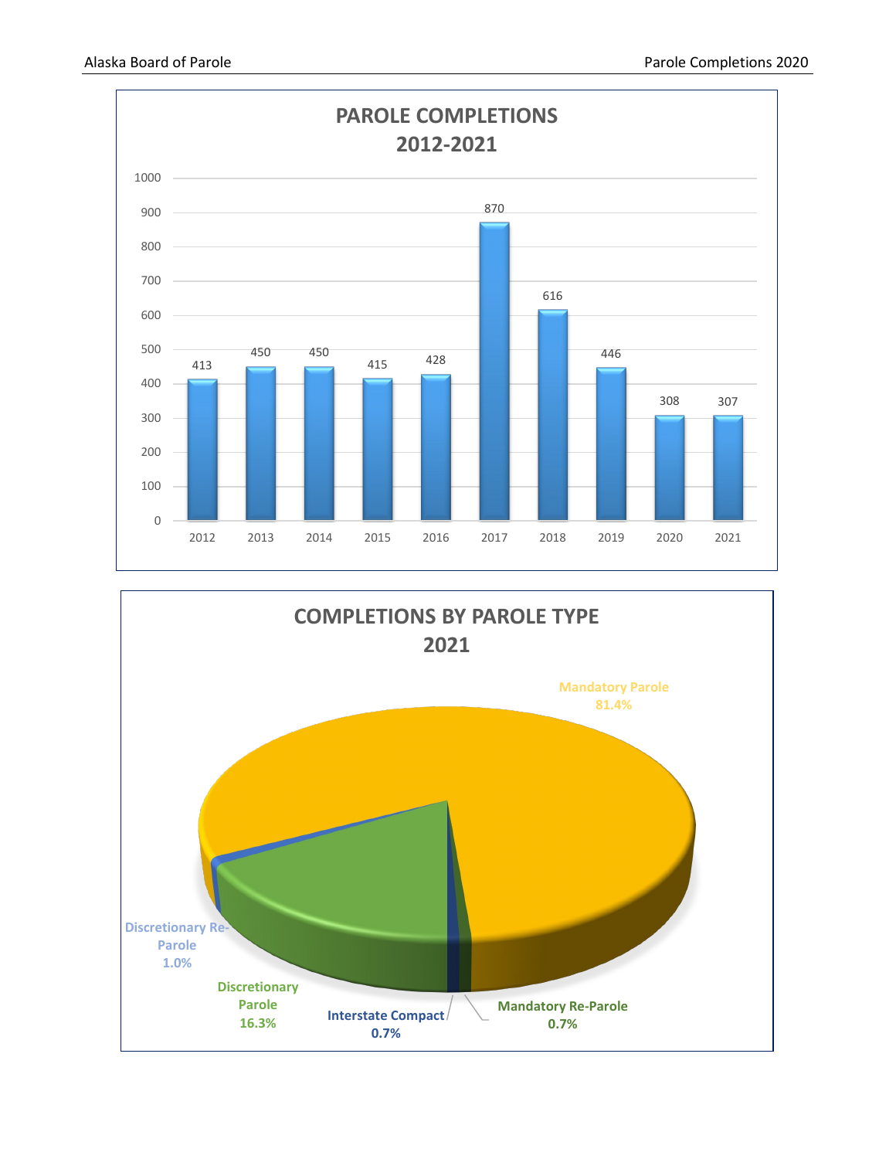

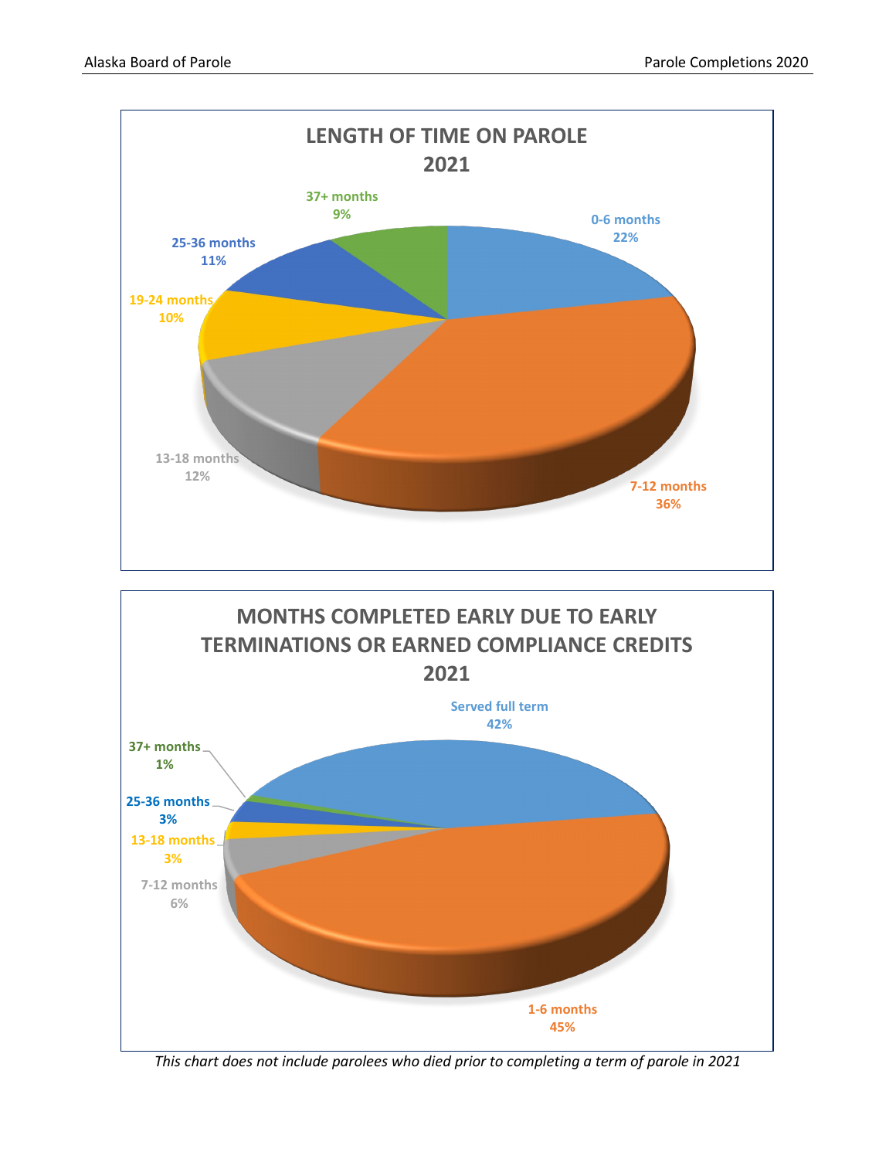



*This chart does not include parolees who died prior to completing a term of parole in 2021*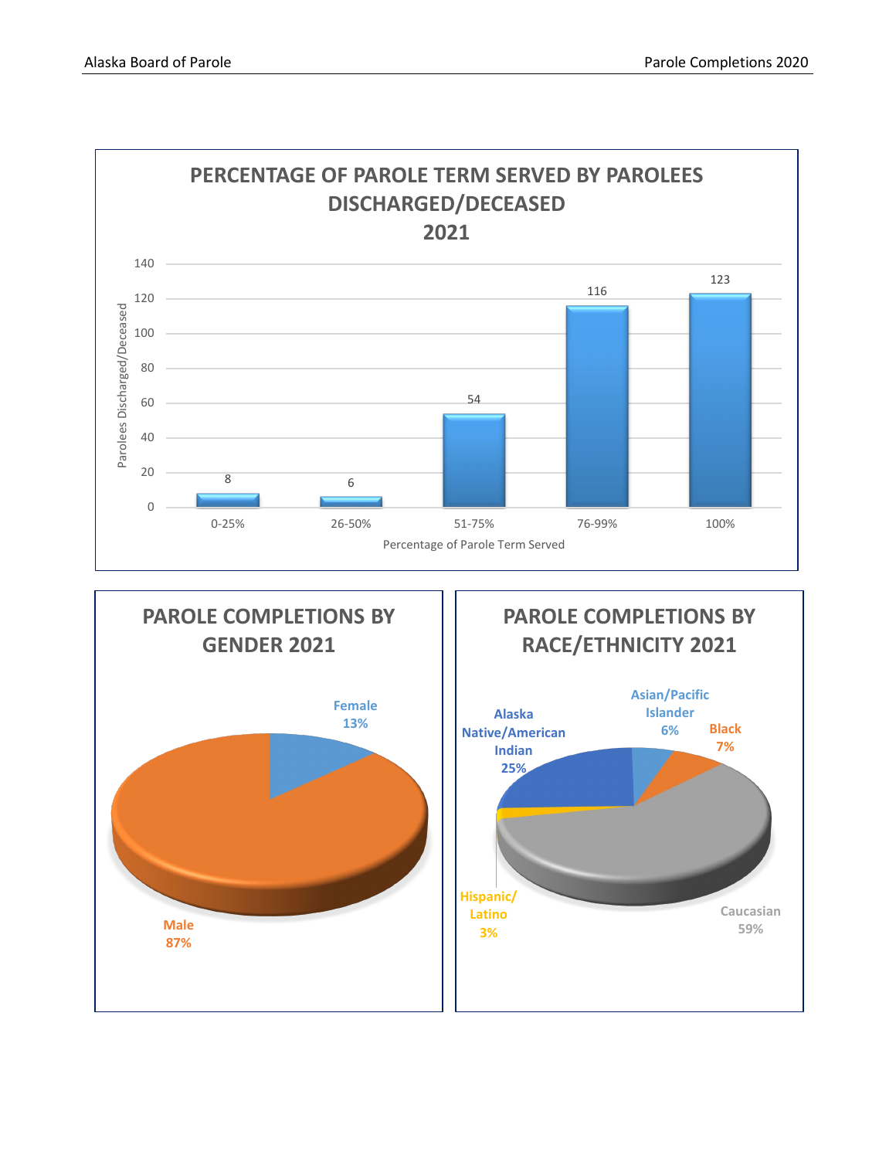**Caucasian 59%**

**Male 87%**



**Hispanic/ Latino 3%**